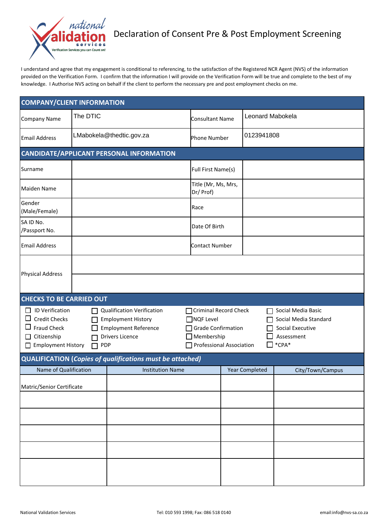

I understand and agree that my engagement is conditional to referencing, to the satisfaction of the Registered NCR Agent (NVS) of the information provided on the Verification Form. I confirm that the information I will provide on the Verification Form will be true and complete to the best of my knowledge. I Authorise NVS acting on behalf if the client to perform the necessary pre and post employment checks on me.

| <b>COMPANY/CLIENT INFORMATION</b>                                                                                                                                                                                                                                                  |                          |                                                                                                                 |                                  |                                                                                        |                  |  |  |  |
|------------------------------------------------------------------------------------------------------------------------------------------------------------------------------------------------------------------------------------------------------------------------------------|--------------------------|-----------------------------------------------------------------------------------------------------------------|----------------------------------|----------------------------------------------------------------------------------------|------------------|--|--|--|
| <b>Company Name</b>                                                                                                                                                                                                                                                                | The DTIC                 |                                                                                                                 | <b>Consultant Name</b>           |                                                                                        | Leonard Mabokela |  |  |  |
| <b>Email Address</b>                                                                                                                                                                                                                                                               | LMabokela@thedtic.gov.za |                                                                                                                 | <b>Phone Number</b>              |                                                                                        | 0123941808       |  |  |  |
| <b>CANDIDATE/APPLICANT PERSONAL INFORMATION</b>                                                                                                                                                                                                                                    |                          |                                                                                                                 |                                  |                                                                                        |                  |  |  |  |
| Surname                                                                                                                                                                                                                                                                            |                          |                                                                                                                 | Full First Name(s)               |                                                                                        |                  |  |  |  |
| Maiden Name                                                                                                                                                                                                                                                                        |                          |                                                                                                                 | Title (Mr, Ms, Mrs,<br>Dr/ Prof) |                                                                                        |                  |  |  |  |
| Gender<br>(Male/Female)                                                                                                                                                                                                                                                            |                          |                                                                                                                 | Race                             |                                                                                        |                  |  |  |  |
| SA ID No.<br>/Passport No.                                                                                                                                                                                                                                                         |                          |                                                                                                                 | Date Of Birth                    |                                                                                        |                  |  |  |  |
| <b>Email Address</b>                                                                                                                                                                                                                                                               |                          |                                                                                                                 | <b>Contact Number</b>            |                                                                                        |                  |  |  |  |
| <b>Physical Address</b>                                                                                                                                                                                                                                                            |                          |                                                                                                                 |                                  |                                                                                        |                  |  |  |  |
| <b>CHECKS TO BE CARRIED OUT</b>                                                                                                                                                                                                                                                    |                          |                                                                                                                 |                                  |                                                                                        |                  |  |  |  |
| $\Box$ ID Verification<br><b>Qualification Verification</b><br>П<br>$\Box$<br><b>Credit Checks</b><br><b>Employment History</b><br>П<br>$\Box$ Fraud Check<br><b>Employment Reference</b><br>□ Citizenship<br><b>Drivers Licence</b><br>Employment History<br><b>PDP</b><br>$\Box$ |                          | □ Criminal Record Check<br>□ NQF Level<br>□ Grade Confirmation<br>$\Box$ Membership<br>Professional Association |                                  | Social Media Basic<br>Social Media Standard<br>Social Executive<br>Assessment<br>*CPA* |                  |  |  |  |
|                                                                                                                                                                                                                                                                                    |                          | <b>QUALIFICATION (Copies of qualifications must be attached)</b>                                                |                                  |                                                                                        |                  |  |  |  |
| Name of Qualification                                                                                                                                                                                                                                                              |                          | <b>Institution Name</b>                                                                                         |                                  | <b>Year Completed</b>                                                                  | City/Town/Campus |  |  |  |
| Matric/Senior Certificate                                                                                                                                                                                                                                                          |                          |                                                                                                                 |                                  |                                                                                        |                  |  |  |  |
|                                                                                                                                                                                                                                                                                    |                          |                                                                                                                 |                                  |                                                                                        |                  |  |  |  |
|                                                                                                                                                                                                                                                                                    |                          |                                                                                                                 |                                  |                                                                                        |                  |  |  |  |
|                                                                                                                                                                                                                                                                                    |                          |                                                                                                                 |                                  |                                                                                        |                  |  |  |  |
|                                                                                                                                                                                                                                                                                    |                          |                                                                                                                 |                                  |                                                                                        |                  |  |  |  |
|                                                                                                                                                                                                                                                                                    |                          |                                                                                                                 |                                  |                                                                                        |                  |  |  |  |